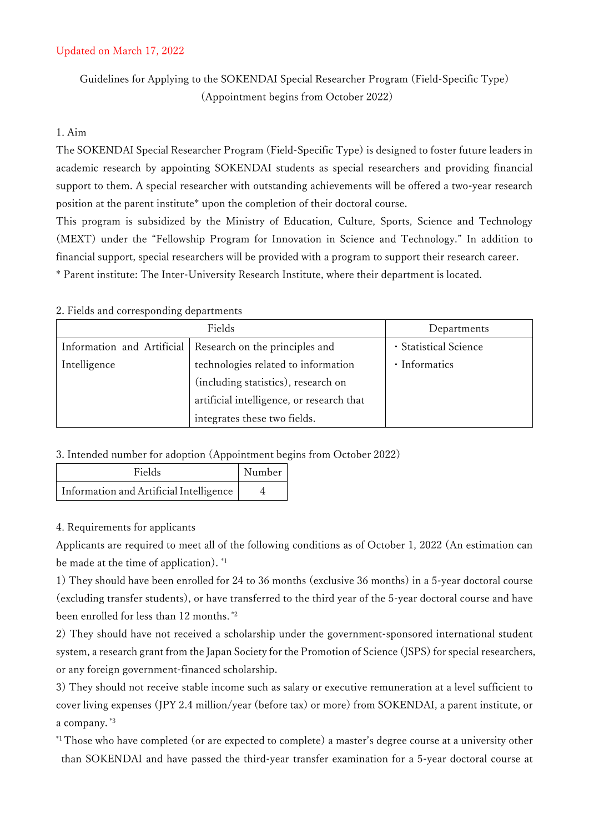# Updated on March 17, 2022

Guidelines for Applying to the SOKENDAI Special Researcher Program (Field-Specific Type) (Appointment begins from October 2022)

## 1. Aim

The SOKENDAI Special Researcher Program (Field-Specific Type) is designed to foster future leaders in academic research by appointing SOKENDAI students as special researchers and providing financial support to them. A special researcher with outstanding achievements will be offered a two-year research position at the parent institute\* upon the completion of their doctoral course.

This program is subsidized by the Ministry of Education, Culture, Sports, Science and Technology (MEXT) under the "Fellowship Program for Innovation in Science and Technology." In addition to financial support, special researchers will be provided with a program to support their research career. \* Parent institute: The Inter-University Research Institute, where their department is located.

#### 2. Fields and corresponding departments

| Fields                     |                                           | Departments           |
|----------------------------|-------------------------------------------|-----------------------|
| Information and Artificial | Research on the principles and            | · Statistical Science |
| Intelligence               | technologies related to information       | • Informatics         |
|                            | (including statistics), research on       |                       |
|                            | artificial intelligence, or research that |                       |
|                            | integrates these two fields.              |                       |

### 3. Intended number for adoption (Appointment begins from October 2022)

| Fields                                  | Number |
|-----------------------------------------|--------|
| Information and Artificial Intelligence |        |

### 4. Requirements for applicants

Applicants are required to meet all of the following conditions as of October 1, 2022 (An estimation can be made at the time of application). \*1

1) They should have been enrolled for 24 to 36 months (exclusive 36 months) in a 5-year doctoral course (excluding transfer students), or have transferred to the third year of the 5-year doctoral course and have been enrolled for less than 12 months. \*2

2) They should have not received a scholarship under the government-sponsored international student system, a research grant from the Japan Society for the Promotion of Science (JSPS) for special researchers, or any foreign government-financed scholarship.

3) They should not receive stable income such as salary or executive remuneration at a level sufficient to cover living expenses (JPY 2.4 million/year (before tax) or more) from SOKENDAI, a parent institute, or a company. \*3

\*1 Those who have completed (or are expected to complete) a master's degree course at a university other than SOKENDAI and have passed the third-year transfer examination for a 5-year doctoral course at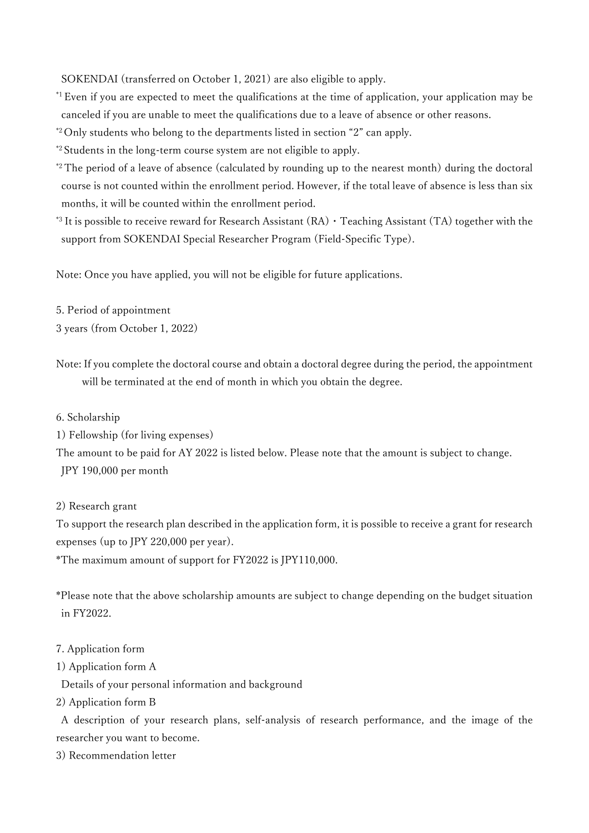SOKENDAI (transferred on October 1, 2021) are also eligible to apply.

\*1 Even if you are expected to meet the qualifications at the time of application, your application may be canceled if you are unable to meet the qualifications due to a leave of absence or other reasons.

\*2 Only students who belong to the departments listed in section "2" can apply.

\*2 Students in the long-term course system are not eligible to apply.

\*2 The period of a leave of absence (calculated by rounding up to the nearest month) during the doctoral course is not counted within the enrollment period. However, if the total leave of absence is less than six months, it will be counted within the enrollment period.

\*3 It is possible to receive reward for Research Assistant  $(RA) \cdot$  Teaching Assistant (TA) together with the support from SOKENDAI Special Researcher Program (Field-Specific Type).

Note: Once you have applied, you will not be eligible for future applications.

5. Period of appointment

3 years (from October 1, 2022)

- Note: If you complete the doctoral course and obtain a doctoral degree during the period, the appointment will be terminated at the end of month in which you obtain the degree.
- 6. Scholarship

1) Fellowship (for living expenses)

The amount to be paid for AY 2022 is listed below. Please note that the amount is subject to change. JPY 190,000 per month

2) Research grant

To support the research plan described in the application form, it is possible to receive a grant for research expenses (up to JPY 220,000 per year).

\*The maximum amount of support for FY2022 is JPY110,000.

\*Please note that the above scholarship amounts are subject to change depending on the budget situation in FY2022.

### 7. Application form

1) Application form A

Details of your personal information and background

2) Application form B

A description of your research plans, self-analysis of research performance, and the image of the researcher you want to become.

3) Recommendation letter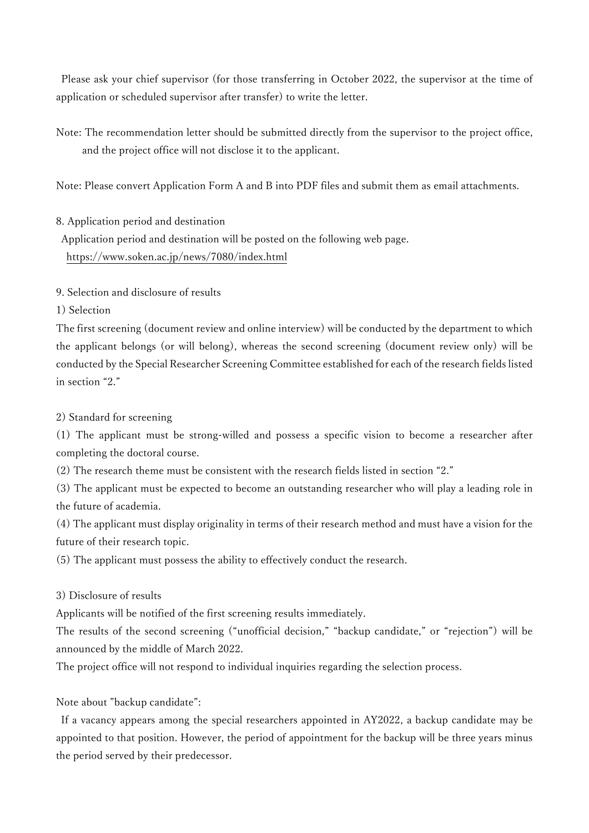Please ask your chief supervisor (for those transferring in October 2022, the supervisor at the time of application or scheduled supervisor after transfer) to write the letter.

Note: The recommendation letter should be submitted directly from the supervisor to the project office, and the project office will not disclose it to the applicant.

Note: Please convert Application Form A and B into PDF files and submit them as email attachments.

8. Application period and destination

Application period and destination will be posted on the following web page. <https://www.soken.ac.jp/news/7080/index.html>

9. Selection and disclosure of results

1) Selection

The first screening (document review and online interview) will be conducted by the department to which the applicant belongs (or will belong), whereas the second screening (document review only) will be conducted by the Special Researcher Screening Committee established for each of the research fields listed in section "2."

2) Standard for screening

(1) The applicant must be strong-willed and possess a specific vision to become a researcher after completing the doctoral course.

(2) The research theme must be consistent with the research fields listed in section "2."

(3) The applicant must be expected to become an outstanding researcher who will play a leading role in the future of academia.

(4) The applicant must display originality in terms of their research method and must have a vision for the future of their research topic.

(5) The applicant must possess the ability to effectively conduct the research.

### 3) Disclosure of results

Applicants will be notified of the first screening results immediately.

The results of the second screening ("unofficial decision," "backup candidate," or "rejection") will be announced by the middle of March 2022.

The project office will not respond to individual inquiries regarding the selection process.

Note about "backup candidate":

If a vacancy appears among the special researchers appointed in AY2022, a backup candidate may be appointed to that position. However, the period of appointment for the backup will be three years minus the period served by their predecessor.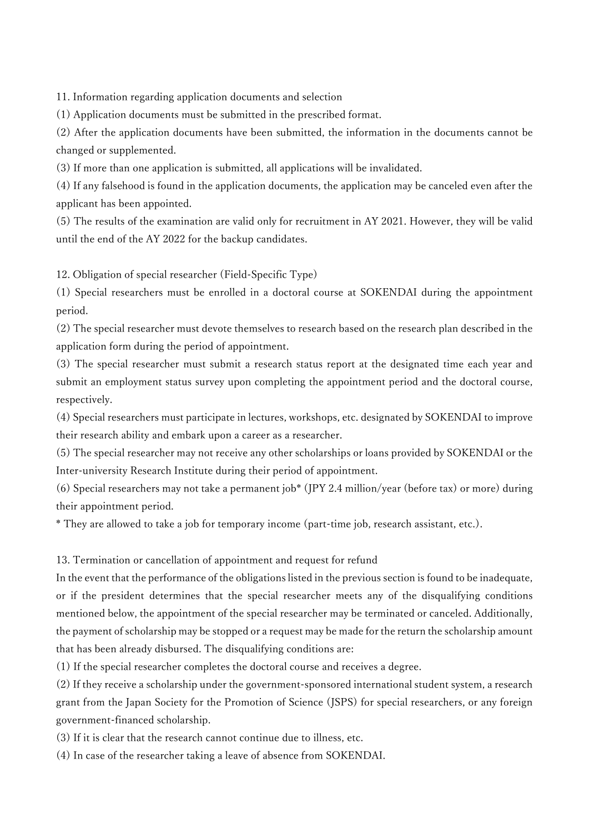11. Information regarding application documents and selection

(1) Application documents must be submitted in the prescribed format.

(2) After the application documents have been submitted, the information in the documents cannot be changed or supplemented.

(3) If more than one application is submitted, all applications will be invalidated.

(4) If any falsehood is found in the application documents, the application may be canceled even after the applicant has been appointed.

(5) The results of the examination are valid only for recruitment in AY 2021. However, they will be valid until the end of the AY 2022 for the backup candidates.

12. Obligation of special researcher (Field-Specific Type)

(1) Special researchers must be enrolled in a doctoral course at SOKENDAI during the appointment period.

(2) The special researcher must devote themselves to research based on the research plan described in the application form during the period of appointment.

(3) The special researcher must submit a research status report at the designated time each year and submit an employment status survey upon completing the appointment period and the doctoral course, respectively.

(4) Special researchers must participate in lectures, workshops, etc. designated by SOKENDAI to improve their research ability and embark upon a career as a researcher.

(5) The special researcher may not receive any other scholarships or loans provided by SOKENDAI or the Inter-university Research Institute during their period of appointment.

(6) Special researchers may not take a permanent job\* (JPY 2.4 million/year (before tax) or more) during their appointment period.

\* They are allowed to take a job for temporary income (part-time job, research assistant, etc.).

13. Termination or cancellation of appointment and request for refund

In the event that the performance of the obligations listed in the previous section is found to be inadequate, or if the president determines that the special researcher meets any of the disqualifying conditions mentioned below, the appointment of the special researcher may be terminated or canceled. Additionally, the payment of scholarship may be stopped or a request may be made for the return the scholarship amount that has been already disbursed. The disqualifying conditions are:

(1) If the special researcher completes the doctoral course and receives a degree.

(2) If they receive a scholarship under the government-sponsored international student system, a research grant from the Japan Society for the Promotion of Science (JSPS) for special researchers, or any foreign government-financed scholarship.

(3) If it is clear that the research cannot continue due to illness, etc.

(4) In case of the researcher taking a leave of absence from SOKENDAI.